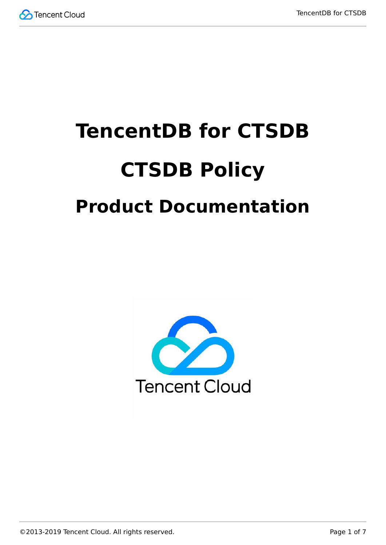

# **TencentDB for CTSDB CTSDB Policy Product Documentation**

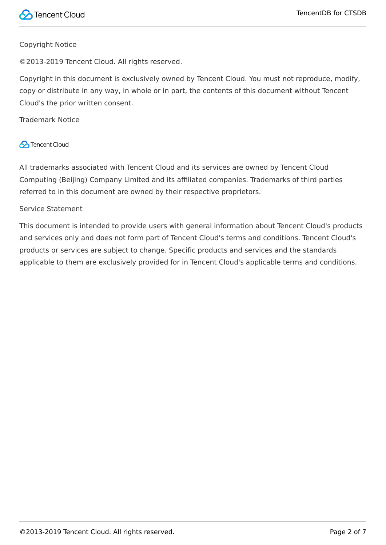#### Copyright Notice

©2013-2019 Tencent Cloud. All rights reserved.

Copyright in this document is exclusively owned by Tencent Cloud. You must not reproduce, modify, copy or distribute in any way, in whole or in part, the contents of this document without Tencent Cloud's the prior written consent.

Trademark Notice

#### **C** Tencent Cloud

All trademarks associated with Tencent Cloud and its services are owned by Tencent Cloud Computing (Beijing) Company Limited and its affiliated companies. Trademarks of third parties referred to in this document are owned by their respective proprietors.

#### Service Statement

This document is intended to provide users with general information about Tencent Cloud's products and services only and does not form part of Tencent Cloud's terms and conditions. Tencent Cloud's products or services are subject to change. Specific products and services and the standards applicable to them are exclusively provided for in Tencent Cloud's applicable terms and conditions.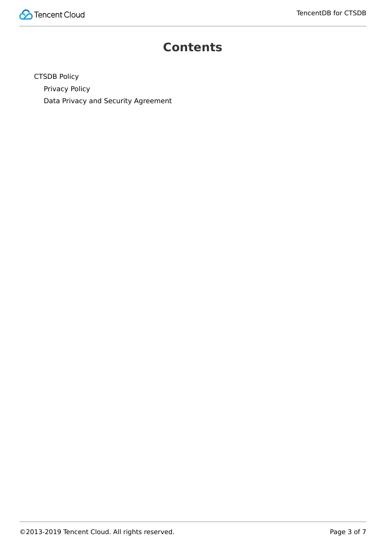

#### **Contents**

[CTSDB Policy](#page-3-0) [Privacy Policy](#page-3-1)

[Data Privacy and Security Agreement](#page-5-0)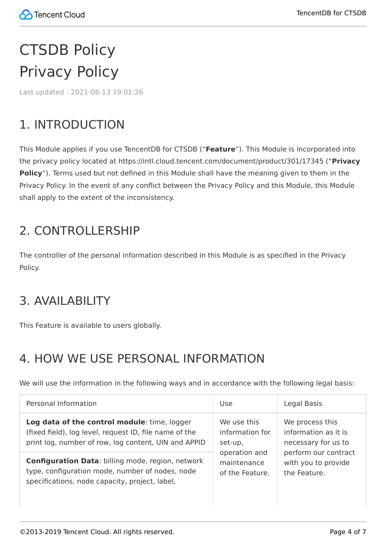# <span id="page-3-1"></span><span id="page-3-0"></span>CTSDB Policy Privacy Policy

Last updated:2021-08-13 19:01:26

## 1. INTRODUCTION

This Module applies if you use TencentDB for CTSDB ("**Feature**"). This Module is incorporated into the privacy policy located at https://intl.cloud.tencent.com/document/product/301/17345 ("**Privacy Policy**"). Terms used but not defined in this Module shall have the meaning given to them in the Privacy Policy. In the event of any conflict between the Privacy Policy and this Module, this Module shall apply to the extent of the inconsistency.

#### 2. CONTROLLERSHIP

The controller of the personal information described in this Module is as specified in the Privacy Policy.

#### 3. AVAILABILITY

This Feature is available to users globally.

## 4. HOW WE USE PERSONAL INFORMATION

We will use the information in the following ways and in accordance with the following legal basis:

| Personal Information                                     | Use             | Legal Basis          |
|----------------------------------------------------------|-----------------|----------------------|
| Log data of the control module: time, logger             | We use this     | We process this      |
| (fixed field), log level, request ID, file name of the   | information for | information as it is |
| print log, number of row, log content, UIN and APPID     | set-up,         | necessary for us to  |
| <b>Configuration Data: billing mode, region, network</b> | operation and   | perform our contract |
| type, configuration mode, number of nodes, node          | maintenance     | with you to provide  |
| specifications, node capacity, project, label,           | of the Feature. | the Feature.         |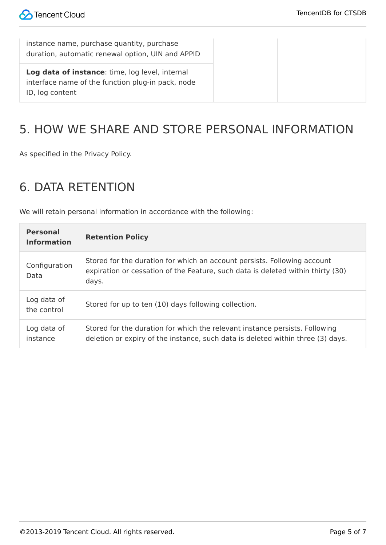instance name, purchase quantity, purchase duration, automatic renewal option, UIN and APPID

**Log data of instance**: time, log level, internal interface name of the function plug-in pack, node ID, log content

### 5. HOW WE SHARE AND STORE PERSONAL INFORMATION

As specified in the Privacy Policy.

#### 6. DATA RETENTION

We will retain personal information in accordance with the following:

| <b>Personal</b><br><b>Information</b> | <b>Retention Policy</b>                                                                                                                                              |
|---------------------------------------|----------------------------------------------------------------------------------------------------------------------------------------------------------------------|
| Configuration<br>Data                 | Stored for the duration for which an account persists. Following account<br>expiration or cessation of the Feature, such data is deleted within thirty (30)<br>days. |
| Log data of<br>the control            | Stored for up to ten (10) days following collection.                                                                                                                 |
| Log data of<br>instance               | Stored for the duration for which the relevant instance persists. Following<br>deletion or expiry of the instance, such data is deleted within three (3) days.       |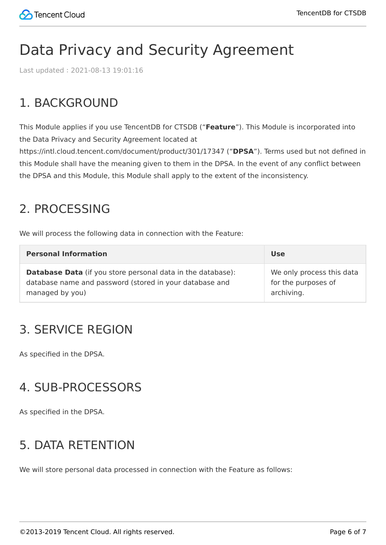## <span id="page-5-0"></span>Data Privacy and Security Agreement

Last updated:2021-08-13 19:01:16

#### 1. BACKGROUND

This Module applies if you use TencentDB for CTSDB ("**Feature**"). This Module is incorporated into the Data Privacy and Security Agreement located at

https://intl.cloud.tencent.com/document/product/301/17347 ("**DPSA**"). Terms used but not defined in this Module shall have the meaning given to them in the DPSA. In the event of any conflict between the DPSA and this Module, this Module shall apply to the extent of the inconsistency.

#### 2. PROCESSING

We will process the following data in connection with the Feature:

| <b>Personal Information</b>                                        | <b>Use</b>                |
|--------------------------------------------------------------------|---------------------------|
| <b>Database Data</b> (if you store personal data in the database): | We only process this data |
| database name and password (stored in your database and            | for the purposes of       |
| managed by you)                                                    | archiving.                |

#### 3. SERVICE REGION

As specified in the DPSA.

#### 4. SUB-PROCESSORS

As specified in the DPSA.

#### 5. DATA RETENTION

We will store personal data processed in connection with the Feature as follows: